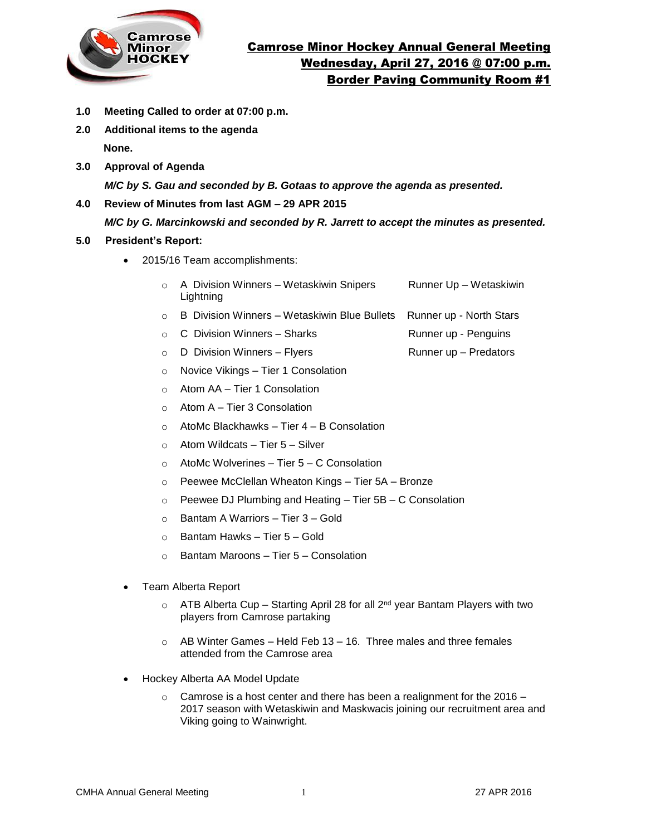

- **1.0 Meeting Called to order at 07:00 p.m.**
- **2.0 Additional items to the agenda None.**
- **3.0 Approval of Agenda**

*M/C by S. Gau and seconded by B. Gotaas to approve the agenda as presented.* 

**4.0 Review of Minutes from last AGM – 29 APR 2015**

### *M/C by G. Marcinkowski and seconded by R. Jarrett to accept the minutes as presented.*

## **5.0 President's Report:**

- 2015/16 Team accomplishments:
	- $\circ$  A Division Winners Wetaskiwin Snipers Runner Up Wetaskiwin **Lightning**
	- o B Division Winners Wetaskiwin Blue Bullets Runner up North Stars
	- o C Division Winners Sharks Runner up Penguins
	- $\circ$  D Division Winners Flyers Runner up Predators
	- o Novice Vikings Tier 1 Consolation
	- o Atom AA Tier 1 Consolation
	- $\circ$  Atom A Tier 3 Consolation
	- $\circ$  AtoMc Blackhawks Tier 4 B Consolation
	- $\circ$  Atom Wildcats Tier 5 Silver
	- $\circ$  AtoMc Wolverines Tier 5 C Consolation
	- o Peewee McClellan Wheaton Kings Tier 5A Bronze
	- o Peewee DJ Plumbing and Heating Tier 5B C Consolation
	- o Bantam A Warriors Tier 3 Gold
	- $\circ$  Bantam Hawks Tier 5 Gold
	- $\circ$  Bantam Maroons Tier 5 Consolation
- Team Alberta Report
	- $\circ$  ATB Alberta Cup Starting April 28 for all 2<sup>nd</sup> year Bantam Players with two players from Camrose partaking
	- $\circ$  AB Winter Games Held Feb 13 16. Three males and three females attended from the Camrose area
- Hockey Alberta AA Model Update
	- $\circ$  Camrose is a host center and there has been a realignment for the 2016 2017 season with Wetaskiwin and Maskwacis joining our recruitment area and Viking going to Wainwright.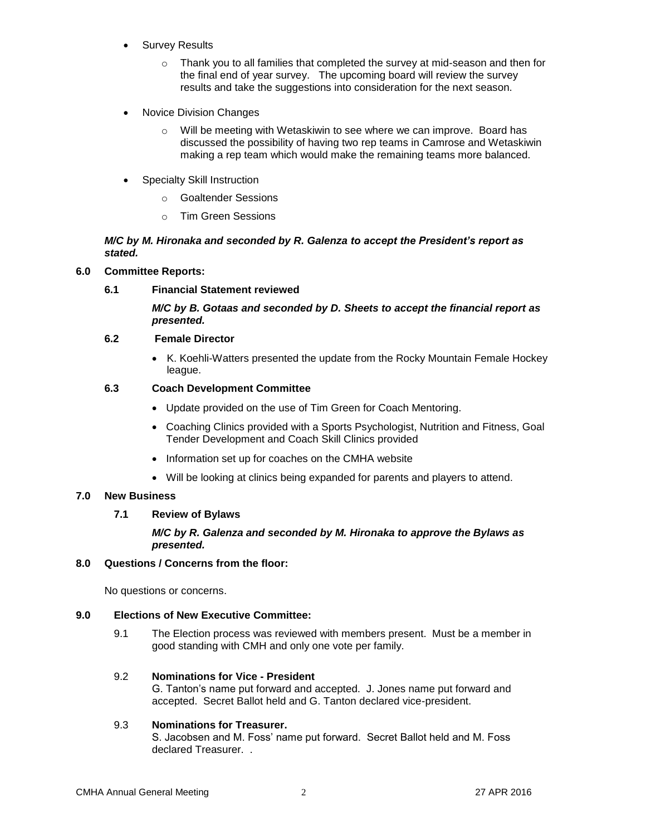- Survey Results
	- o Thank you to all families that completed the survey at mid-season and then for the final end of year survey. The upcoming board will review the survey results and take the suggestions into consideration for the next season.
- Novice Division Changes
	- $\circ$  Will be meeting with Wetaskiwin to see where we can improve. Board has discussed the possibility of having two rep teams in Camrose and Wetaskiwin making a rep team which would make the remaining teams more balanced.
- Specialty Skill Instruction
	- o Goaltender Sessions
	- o Tim Green Sessions

### *M/C by M. Hironaka and seconded by R. Galenza to accept the President's report as stated.*

## **6.0 Committee Reports:**

**6.1 Financial Statement reviewed**

## *M/C by B. Gotaas and seconded by D. Sheets to accept the financial report as presented.*

### **6.2 Female Director**

• K. Koehli-Watters presented the update from the Rocky Mountain Female Hockey league.

## **6.3 Coach Development Committee**

- Update provided on the use of Tim Green for Coach Mentoring.
- Coaching Clinics provided with a Sports Psychologist, Nutrition and Fitness, Goal Tender Development and Coach Skill Clinics provided
- Information set up for coaches on the CMHA website
- Will be looking at clinics being expanded for parents and players to attend.

# **7.0 New Business**

# **7.1 Review of Bylaws**

*M/C by R. Galenza and seconded by M. Hironaka to approve the Bylaws as presented.* 

### **8.0 Questions / Concerns from the floor:**

No questions or concerns.

### **9.0 Elections of New Executive Committee:**

9.1 The Election process was reviewed with members present. Must be a member in good standing with CMH and only one vote per family.

## 9.2 **Nominations for Vice - President**

G. Tanton's name put forward and accepted. J. Jones name put forward and accepted. Secret Ballot held and G. Tanton declared vice-president.

### 9.3 **Nominations for Treasurer.**

S. Jacobsen and M. Foss' name put forward. Secret Ballot held and M. Foss declared Treasurer. .